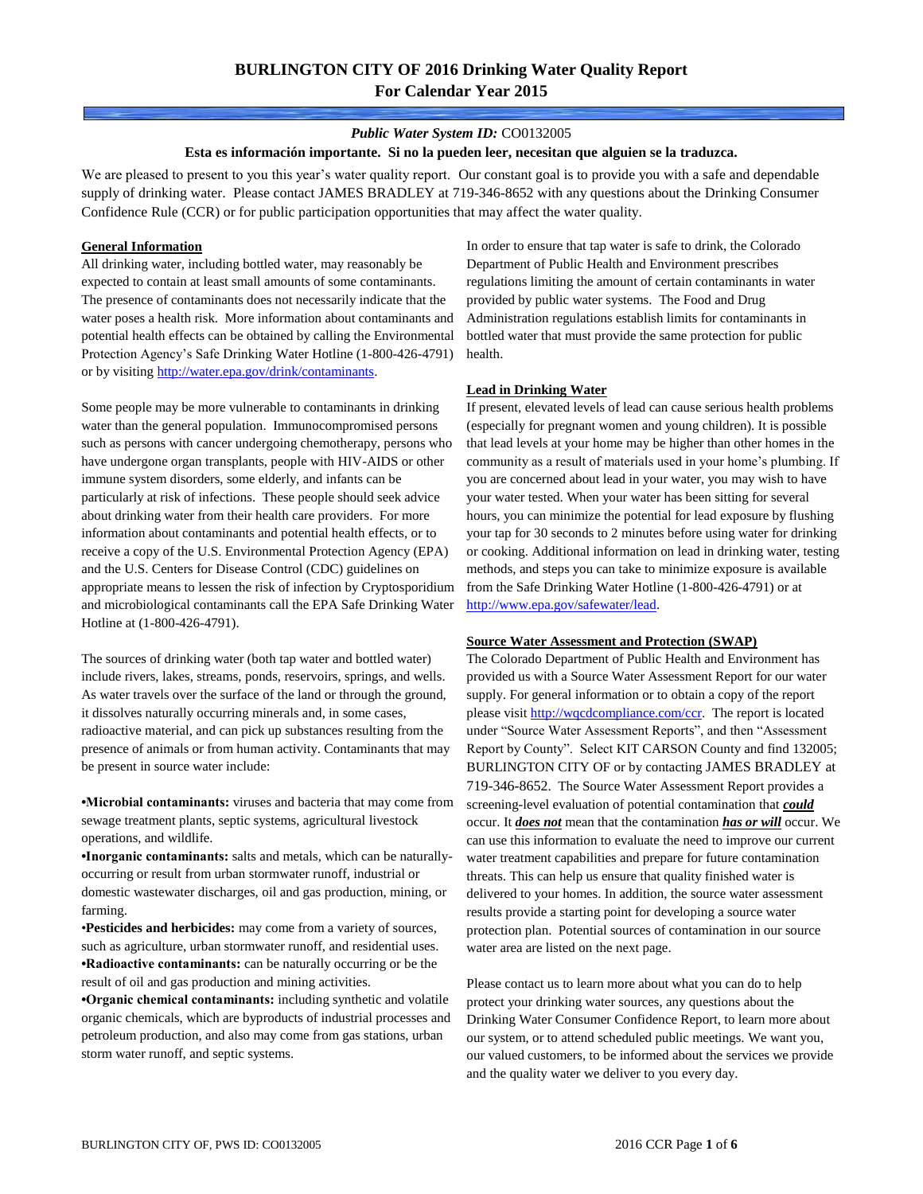### *Public Water System ID:* CO0132005

#### **Esta es información importante. Si no la pueden leer, necesitan que alguien se la traduzca.**

We are pleased to present to you this year's water quality report. Our constant goal is to provide you with a safe and dependable supply of drinking water. Please contact JAMES BRADLEY at 719-346-8652 with any questions about the Drinking Consumer Confidence Rule (CCR) or for public participation opportunities that may affect the water quality.

#### **General Information**

All drinking water, including bottled water, may reasonably be expected to contain at least small amounts of some contaminants. The presence of contaminants does not necessarily indicate that the water poses a health risk. More information about contaminants and potential health effects can be obtained by calling the Environmental Protection Agency's Safe Drinking Water Hotline (1-800-426-4791) or by visiting [http://water.epa.gov/drink/contaminants.](http://water.epa.gov/drink/contaminants)

Some people may be more vulnerable to contaminants in drinking water than the general population. Immunocompromised persons such as persons with cancer undergoing chemotherapy, persons who have undergone organ transplants, people with HIV-AIDS or other immune system disorders, some elderly, and infants can be particularly at risk of infections. These people should seek advice about drinking water from their health care providers. For more information about contaminants and potential health effects, or to receive a copy of the U.S. Environmental Protection Agency (EPA) and the U.S. Centers for Disease Control (CDC) guidelines on appropriate means to lessen the risk of infection by Cryptosporidium and microbiological contaminants call the EPA Safe Drinking Water Hotline at (1-800-426-4791).

The sources of drinking water (both tap water and bottled water) include rivers, lakes, streams, ponds, reservoirs, springs, and wells. As water travels over the surface of the land or through the ground, it dissolves naturally occurring minerals and, in some cases, radioactive material, and can pick up substances resulting from the presence of animals or from human activity. Contaminants that may be present in source water include:

**•Microbial contaminants:** viruses and bacteria that may come from sewage treatment plants, septic systems, agricultural livestock operations, and wildlife.

**•Inorganic contaminants:** salts and metals, which can be naturallyoccurring or result from urban stormwater runoff, industrial or domestic wastewater discharges, oil and gas production, mining, or farming.

•**Pesticides and herbicides:** may come from a variety of sources, such as agriculture, urban stormwater runoff, and residential uses. **•Radioactive contaminants:** can be naturally occurring or be the result of oil and gas production and mining activities.

**•Organic chemical contaminants:** including synthetic and volatile organic chemicals, which are byproducts of industrial processes and petroleum production, and also may come from gas stations, urban storm water runoff, and septic systems.

In order to ensure that tap water is safe to drink, the Colorado Department of Public Health and Environment prescribes regulations limiting the amount of certain contaminants in water provided by public water systems. The Food and Drug Administration regulations establish limits for contaminants in bottled water that must provide the same protection for public health.

### **Lead in Drinking Water**

If present, elevated levels of lead can cause serious health problems (especially for pregnant women and young children). It is possible that lead levels at your home may be higher than other homes in the community as a result of materials used in your home's plumbing. If you are concerned about lead in your water, you may wish to have your water tested. When your water has been sitting for several hours, you can minimize the potential for lead exposure by flushing your tap for 30 seconds to 2 minutes before using water for drinking or cooking. Additional information on lead in drinking water, testing methods, and steps you can take to minimize exposure is available from the Safe Drinking Water Hotline (1-800-426-4791) or at [http://www.epa.gov/safewater/lead.](http://www.epa.gov/safewater/lead) 

#### **Source Water Assessment and Protection (SWAP)**

The Colorado Department of Public Health and Environment has provided us with a Source Water Assessment Report for our water supply. For general information or to obtain a copy of the report please visit [http://wqcdcompliance.com/ccr.](http://wqcdcompliance.com/ccr) The report is located under "Source Water Assessment Reports", and then "Assessment Report by County". Select KIT CARSON County and find 132005; BURLINGTON CITY OF or by contacting JAMES BRADLEY at 719-346-8652. The Source Water Assessment Report provides a screening-level evaluation of potential contamination that *could* occur. It *does not* mean that the contamination *has or will* occur. We can use this information to evaluate the need to improve our current water treatment capabilities and prepare for future contamination threats. This can help us ensure that quality finished water is delivered to your homes. In addition, the source water assessment results provide a starting point for developing a source water protection plan. Potential sources of contamination in our source water area are listed on the next page.

Please contact us to learn more about what you can do to help protect your drinking water sources, any questions about the Drinking Water Consumer Confidence Report, to learn more about our system, or to attend scheduled public meetings. We want you, our valued customers, to be informed about the services we provide and the quality water we deliver to you every day.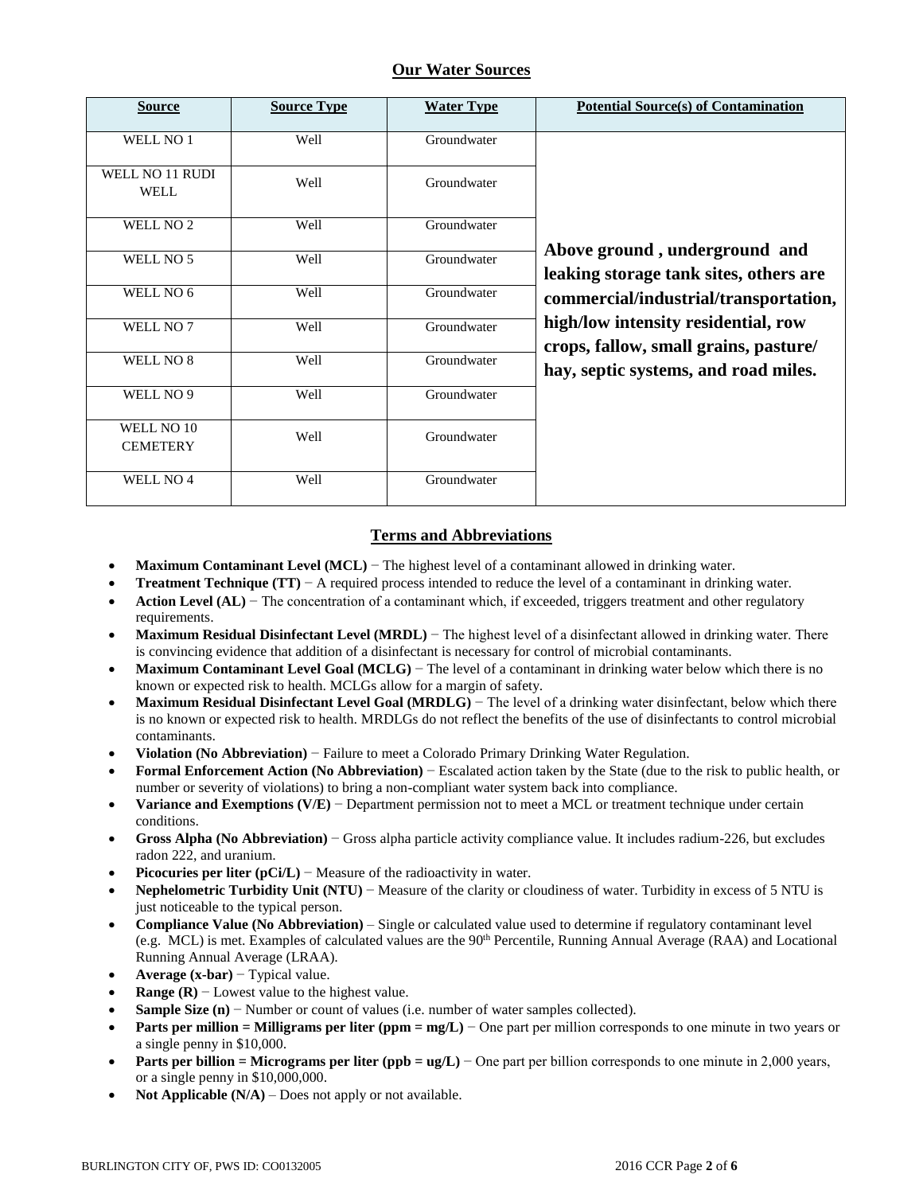## **Our Water Sources**

| <b>Source</b>                  | <b>Source Type</b> | <b>Water Type</b> | <b>Potential Source(s) of Contamination</b>                                  |
|--------------------------------|--------------------|-------------------|------------------------------------------------------------------------------|
| WELL NO 1                      | Well               | Groundwater       |                                                                              |
| WELL NO 11 RUDI<br><b>WELL</b> | Well               | Groundwater       |                                                                              |
| WELL NO <sub>2</sub>           | Well               | Groundwater       |                                                                              |
| WELL NO 5                      | Well               | Groundwater       | Above ground, underground and<br>leaking storage tank sites, others are      |
| WELL NO 6                      | Well               | Groundwater       | commercial/industrial/transportation,                                        |
| WELL NO 7                      | Well               | Groundwater       | high/low intensity residential, row<br>crops, fallow, small grains, pasture/ |
| WELL NO 8                      | Well               | Groundwater       | hay, septic systems, and road miles.                                         |
| WELL NO 9                      | Well               | Groundwater       |                                                                              |
| WELL NO 10<br><b>CEMETERY</b>  | Well               | Groundwater       |                                                                              |
| WELL NO <sub>4</sub>           | Well               | Groundwater       |                                                                              |

# **Terms and Abbreviations**

- **Maximum Contaminant Level (MCL)** − The highest level of a contaminant allowed in drinking water.
- **Treatment Technique (TT)** − A required process intended to reduce the level of a contaminant in drinking water.
- **Action Level (AL)** − The concentration of a contaminant which, if exceeded, triggers treatment and other regulatory requirements.
- **Maximum Residual Disinfectant Level (MRDL)** − The highest level of a disinfectant allowed in drinking water. There is convincing evidence that addition of a disinfectant is necessary for control of microbial contaminants.
- **Maximum Contaminant Level Goal (MCLG)** − The level of a contaminant in drinking water below which there is no known or expected risk to health. MCLGs allow for a margin of safety.
- **Maximum Residual Disinfectant Level Goal (MRDLG)** − The level of a drinking water disinfectant, below which there is no known or expected risk to health. MRDLGs do not reflect the benefits of the use of disinfectants to control microbial contaminants.
- **Violation (No Abbreviation)** − Failure to meet a Colorado Primary Drinking Water Regulation.
- **Formal Enforcement Action (No Abbreviation)** − Escalated action taken by the State (due to the risk to public health, or number or severity of violations) to bring a non-compliant water system back into compliance.
- **Variance and Exemptions (V/E)** − Department permission not to meet a MCL or treatment technique under certain conditions.
- **Gross Alpha (No Abbreviation)** − Gross alpha particle activity compliance value. It includes radium-226, but excludes radon 222, and uranium.
- **Picocuries per liter (pCi/L)** − Measure of the radioactivity in water.
- **Nephelometric Turbidity Unit (NTU)** − Measure of the clarity or cloudiness of water. Turbidity in excess of 5 NTU is just noticeable to the typical person.
- **Compliance Value (No Abbreviation)** Single or calculated value used to determine if regulatory contaminant level (e.g. MCL) is met. Examples of calculated values are the 90<sup>th</sup> Percentile, Running Annual Average (RAA) and Locational Running Annual Average (LRAA).
- **Average (x-bar)** − Typical value.
- **Range (R)** − Lowest value to the highest value.
- **Sample Size (n)** − Number or count of values (i.e. number of water samples collected).
- **Parts per million = Milligrams per liter (ppm = mg/L)** − One part per million corresponds to one minute in two years or a single penny in \$10,000.
- **Parts per billion = Micrograms per liter (ppb = ug/L)** − One part per billion corresponds to one minute in 2,000 years, or a single penny in \$10,000,000.
- **Not Applicable (N/A)** Does not apply or not available.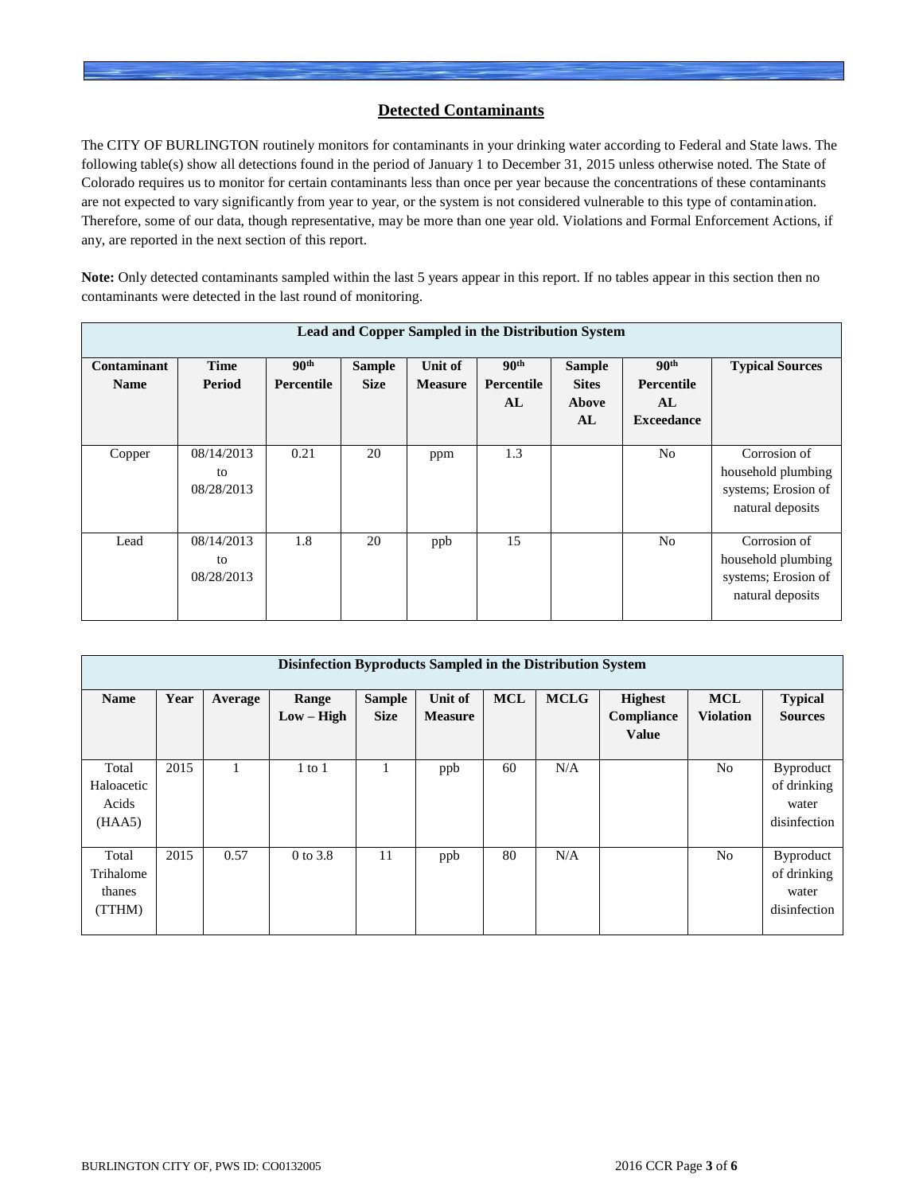## **Detected Contaminants**

The CITY OF BURLINGTON routinely monitors for contaminants in your drinking water according to Federal and State laws. The following table(s) show all detections found in the period of January 1 to December 31, 2015 unless otherwise noted. The State of Colorado requires us to monitor for certain contaminants less than once per year because the concentrations of these contaminants are not expected to vary significantly from year to year, or the system is not considered vulnerable to this type of contamination. Therefore, some of our data, though representative, may be more than one year old. Violations and Formal Enforcement Actions, if any, are reported in the next section of this report.

**Note:** Only detected contaminants sampled within the last 5 years appear in this report. If no tables appear in this section then no contaminants were detected in the last round of monitoring.

| Lead and Copper Sampled in the Distribution System |                                |                                |                              |                           |                                      |                                                     |                                                           |                                                                               |  |  |
|----------------------------------------------------|--------------------------------|--------------------------------|------------------------------|---------------------------|--------------------------------------|-----------------------------------------------------|-----------------------------------------------------------|-------------------------------------------------------------------------------|--|--|
| Contaminant<br><b>Name</b>                         | <b>Time</b><br>Period          | 90 <sup>th</sup><br>Percentile | <b>Sample</b><br><b>Size</b> | Unit of<br><b>Measure</b> | 90 <sup>th</sup><br>Percentile<br>AL | <b>Sample</b><br><b>Sites</b><br><b>Above</b><br>AL | 90 <sup>th</sup><br>Percentile<br>AL<br><b>Exceedance</b> | <b>Typical Sources</b>                                                        |  |  |
| Copper                                             | 08/14/2013<br>to<br>08/28/2013 | 0.21                           | 20                           | ppm                       | 1.3                                  |                                                     | N <sub>o</sub>                                            | Corrosion of<br>household plumbing<br>systems; Erosion of<br>natural deposits |  |  |
| Lead                                               | 08/14/2013<br>to<br>08/28/2013 | 1.8                            | 20                           | ppb                       | 15                                   |                                                     | N <sub>0</sub>                                            | Corrosion of<br>household plumbing<br>systems; Erosion of<br>natural deposits |  |  |

|                                        | Disinfection Byproducts Sampled in the Distribution System |         |                       |                              |                           |            |             |                                              |                                |                                                          |  |  |
|----------------------------------------|------------------------------------------------------------|---------|-----------------------|------------------------------|---------------------------|------------|-------------|----------------------------------------------|--------------------------------|----------------------------------------------------------|--|--|
| <b>Name</b>                            | Year                                                       | Average | Range<br>$Low - High$ | <b>Sample</b><br><b>Size</b> | Unit of<br><b>Measure</b> | <b>MCL</b> | <b>MCLG</b> | <b>Highest</b><br>Compliance<br><b>Value</b> | <b>MCL</b><br><b>Violation</b> | <b>Typical</b><br><b>Sources</b>                         |  |  |
| Total<br>Haloacetic<br>Acids<br>(HAA5) | 2015                                                       |         | $1$ to $1$            |                              | ppb                       | 60         | N/A         |                                              | N <sub>o</sub>                 | <b>Byproduct</b><br>of drinking<br>water<br>disinfection |  |  |
| Total<br>Trihalome<br>thanes<br>(TTHM) | 2015                                                       | 0.57    | 0 to 3.8              | 11                           | ppb                       | 80         | N/A         |                                              | N <sub>o</sub>                 | <b>Byproduct</b><br>of drinking<br>water<br>disinfection |  |  |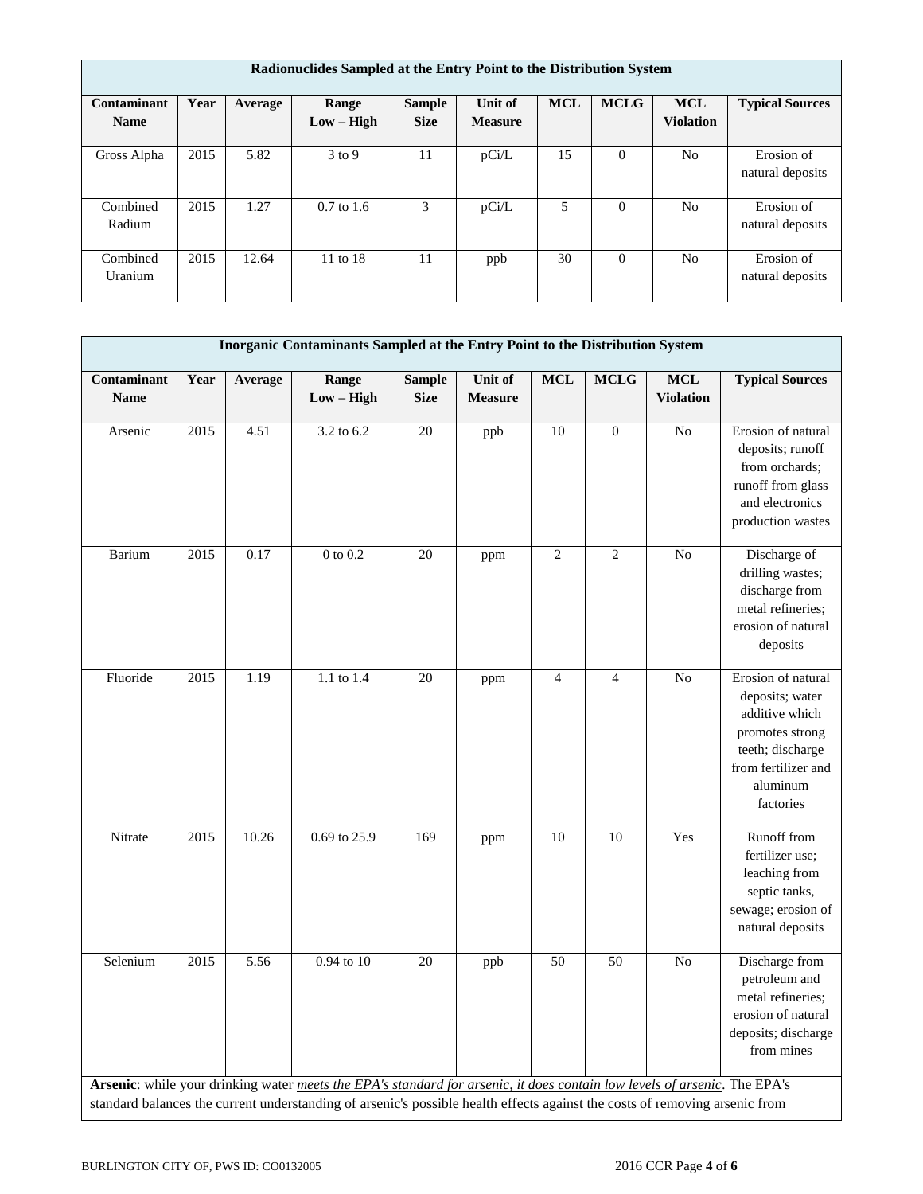|                            | Radionuclides Sampled at the Entry Point to the Distribution System |         |                       |                              |                           |            |                |                                |                                |  |  |
|----------------------------|---------------------------------------------------------------------|---------|-----------------------|------------------------------|---------------------------|------------|----------------|--------------------------------|--------------------------------|--|--|
| Contaminant<br><b>Name</b> | Year                                                                | Average | Range<br>$Low - High$ | <b>Sample</b><br><b>Size</b> | Unit of<br><b>Measure</b> | <b>MCL</b> | <b>MCLG</b>    | <b>MCL</b><br><b>Violation</b> | <b>Typical Sources</b>         |  |  |
| Gross Alpha                | 2015                                                                | 5.82    | $3$ to 9              | 11                           | pCi/L                     | 15         | $\theta$       | N <sub>0</sub>                 | Erosion of<br>natural deposits |  |  |
| Combined<br>Radium         | 2015                                                                | 1.27    | $0.7$ to 1.6          | 3                            | pCi/L                     | 5          | $\overline{0}$ | N <sub>o</sub>                 | Erosion of<br>natural deposits |  |  |
| Combined<br>Uranium        | 2015                                                                | 12.64   | 11 to 18              | 11                           | ppb                       | 30         | $\theta$       | N <sub>0</sub>                 | Erosion of<br>natural deposits |  |  |

|                            |      |         | Inorganic Contaminants Sampled at the Entry Point to the Distribution System                                                                                                                                                                             |                              |                           |                |                  |                                |                                                                                                                                                |
|----------------------------|------|---------|----------------------------------------------------------------------------------------------------------------------------------------------------------------------------------------------------------------------------------------------------------|------------------------------|---------------------------|----------------|------------------|--------------------------------|------------------------------------------------------------------------------------------------------------------------------------------------|
| Contaminant<br><b>Name</b> | Year | Average | Range<br>$Low - High$                                                                                                                                                                                                                                    | <b>Sample</b><br><b>Size</b> | Unit of<br><b>Measure</b> | <b>MCL</b>     | <b>MCLG</b>      | <b>MCL</b><br><b>Violation</b> | <b>Typical Sources</b>                                                                                                                         |
| Arsenic                    | 2015 | 4.51    | 3.2 to 6.2                                                                                                                                                                                                                                               | 20                           | ppb                       | 10             | $\boldsymbol{0}$ | No                             | Erosion of natural<br>deposits; runoff<br>from orchards;<br>runoff from glass<br>and electronics<br>production wastes                          |
| Barium                     | 2015 | 0.17    | $0$ to $0.2\,$                                                                                                                                                                                                                                           | 20                           | ppm                       | $\overline{2}$ | $\overline{2}$   | N <sub>o</sub>                 | Discharge of<br>drilling wastes;<br>discharge from<br>metal refineries;<br>erosion of natural<br>deposits                                      |
| Fluoride                   | 2015 | 1.19    | 1.1 to 1.4                                                                                                                                                                                                                                               | 20                           | ppm                       | $\overline{4}$ | $\overline{4}$   | N <sub>o</sub>                 | Erosion of natural<br>deposits; water<br>additive which<br>promotes strong<br>teeth; discharge<br>from fertilizer and<br>aluminum<br>factories |
| Nitrate                    | 2015 | 10.26   | 0.69 to 25.9                                                                                                                                                                                                                                             | 169                          | ppm                       | 10             | 10               | Yes                            | Runoff from<br>fertilizer use;<br>leaching from<br>septic tanks,<br>sewage; erosion of<br>natural deposits                                     |
| Selenium                   | 2015 | 5.56    | $0.94$ to $10$                                                                                                                                                                                                                                           | 20                           | ppb                       | 50             | 50               | N <sub>o</sub>                 | Discharge from<br>petroleum and<br>metal refineries:<br>erosion of natural<br>deposits; discharge<br>from mines                                |
|                            |      |         | Arsenic: while your drinking water meets the EPA's standard for arsenic, it does contain low levels of arsenic. The EPA's<br>standard balances the current understanding of arsenic's possible health effects against the costs of removing arsenic from |                              |                           |                |                  |                                |                                                                                                                                                |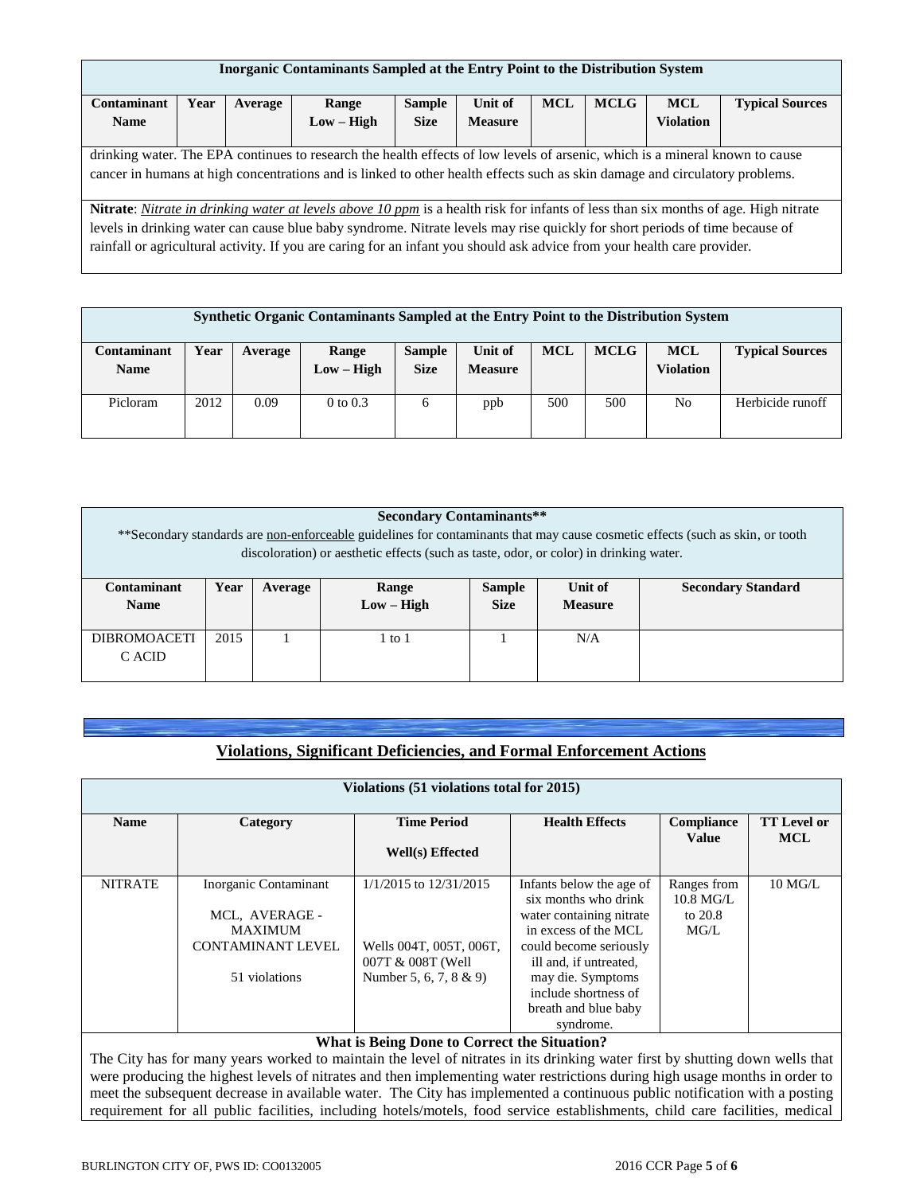| <b>Inorganic Contaminants Sampled at the Entry Point to the Distribution System</b>                                      |      |         |                                                                                                                              |               |                |            |             |                  |                                                                                                                                     |
|--------------------------------------------------------------------------------------------------------------------------|------|---------|------------------------------------------------------------------------------------------------------------------------------|---------------|----------------|------------|-------------|------------------|-------------------------------------------------------------------------------------------------------------------------------------|
| Contaminant                                                                                                              | Year | Average | Range                                                                                                                        | <b>Sample</b> | Unit of        | <b>MCL</b> | <b>MCLG</b> | <b>MCL</b>       | <b>Typical Sources</b>                                                                                                              |
| <b>Name</b>                                                                                                              |      |         | $Low - High$                                                                                                                 | <b>Size</b>   | <b>Measure</b> |            |             | <b>Violation</b> |                                                                                                                                     |
|                                                                                                                          |      |         |                                                                                                                              |               |                |            |             |                  |                                                                                                                                     |
|                                                                                                                          |      |         | drinking water. The EPA continues to research the health effects of low levels of arsenic, which is a mineral known to cause |               |                |            |             |                  |                                                                                                                                     |
|                                                                                                                          |      |         | cancer in humans at high concentrations and is linked to other health effects such as skin damage and circulatory problems.  |               |                |            |             |                  |                                                                                                                                     |
|                                                                                                                          |      |         |                                                                                                                              |               |                |            |             |                  |                                                                                                                                     |
|                                                                                                                          |      |         |                                                                                                                              |               |                |            |             |                  | Nitrate: Nitrate in drinking water at levels above 10 ppm is a health risk for infants of less than six months of age. High nitrate |
|                                                                                                                          |      |         | levels in drinking water can cause blue baby syndrome. Nitrate levels may rise quickly for short periods of time because of  |               |                |            |             |                  |                                                                                                                                     |
| rainfall or agricultural activity. If you are caring for an infant you should ask advice from your health care provider. |      |         |                                                                                                                              |               |                |            |             |                  |                                                                                                                                     |
|                                                                                                                          |      |         |                                                                                                                              |               |                |            |             |                  |                                                                                                                                     |

| Synthetic Organic Contaminants Sampled at the Entry Point to the Distribution System |      |         |                       |                              |                           |            |             |                                |                        |
|--------------------------------------------------------------------------------------|------|---------|-----------------------|------------------------------|---------------------------|------------|-------------|--------------------------------|------------------------|
| Contaminant<br><b>Name</b>                                                           | Year | Average | Range<br>$Low - High$ | <b>Sample</b><br><b>Size</b> | Unit of<br><b>Measure</b> | <b>MCL</b> | <b>MCLG</b> | <b>MCL</b><br><b>Violation</b> | <b>Typical Sources</b> |
| Picloram                                                                             | 2012 | 0.09    | $0$ to $0.3$          | 6                            | ppb                       | 500        | 500         | No                             | Herbicide runoff       |

| <b>Secondary Contaminants**</b><br>**Secondary standards are non-enforceable guidelines for contaminants that may cause cosmetic effects (such as skin, or tooth<br>discoloration) or aesthetic effects (such as taste, odor, or color) in drinking water. |                                                                                                                                    |  |  |  |  |  |  |  |
|------------------------------------------------------------------------------------------------------------------------------------------------------------------------------------------------------------------------------------------------------------|------------------------------------------------------------------------------------------------------------------------------------|--|--|--|--|--|--|--|
| Contaminant<br><b>Name</b>                                                                                                                                                                                                                                 | Year<br>Unit of<br>Range<br><b>Sample</b><br><b>Secondary Standard</b><br>Average<br>$Low - High$<br><b>Size</b><br><b>Measure</b> |  |  |  |  |  |  |  |
| 2015<br><b>DIBROMOACETI</b><br>N/A<br>l to 1<br>C ACID                                                                                                                                                                                                     |                                                                                                                                    |  |  |  |  |  |  |  |

|  |  | Violations, Significant Deficiencies, and Formal Enforcement Actions |
|--|--|----------------------------------------------------------------------|
|  |  |                                                                      |

| Violations (51 violations total for 2015) |                                                                                                                              |                                              |                                                  |                                    |                           |  |  |  |  |  |  |
|-------------------------------------------|------------------------------------------------------------------------------------------------------------------------------|----------------------------------------------|--------------------------------------------------|------------------------------------|---------------------------|--|--|--|--|--|--|
| <b>Name</b>                               | Category                                                                                                                     | <b>Time Period</b><br><b>Health Effects</b>  |                                                  |                                    | <b>TT</b> Level or<br>MCL |  |  |  |  |  |  |
|                                           |                                                                                                                              | Well(s) Effected                             |                                                  | Value                              |                           |  |  |  |  |  |  |
| <b>NITRATE</b>                            | Inorganic Contaminant                                                                                                        | $1/1/2015$ to $12/31/2015$                   | Infants below the age of<br>six months who drink | Ranges from<br>$10.8 \text{ MG/L}$ | $10$ MG/L                 |  |  |  |  |  |  |
|                                           | MCL, AVERAGE -                                                                                                               |                                              | water containing nitrate                         | to 20.8                            |                           |  |  |  |  |  |  |
|                                           | <b>MAXIMUM</b>                                                                                                               |                                              | in excess of the MCL                             | MG/L                               |                           |  |  |  |  |  |  |
|                                           | <b>CONTAMINANT LEVEL</b>                                                                                                     | Wells 004T, 005T, 006T,<br>007T & 008T (Well | could become seriously<br>ill and, if untreated, |                                    |                           |  |  |  |  |  |  |
|                                           | 51 violations                                                                                                                | Number 5, 6, 7, 8 & 9)                       | may die. Symptoms                                |                                    |                           |  |  |  |  |  |  |
|                                           |                                                                                                                              |                                              | include shortness of                             |                                    |                           |  |  |  |  |  |  |
|                                           |                                                                                                                              |                                              | breath and blue baby                             |                                    |                           |  |  |  |  |  |  |
|                                           |                                                                                                                              |                                              | syndrome.                                        |                                    |                           |  |  |  |  |  |  |
|                                           |                                                                                                                              | What is Being Done to Correct the Situation? |                                                  |                                    |                           |  |  |  |  |  |  |
|                                           | The City has for many vegre worked to maintain the lavel of nitrates in its drinking water first by shutting down wells that |                                              |                                                  |                                    |                           |  |  |  |  |  |  |

The City has for many years worked to maintain the level of nitrates in its drinking water first by shutting down wells that were producing the highest levels of nitrates and then implementing water restrictions during high usage months in order to meet the subsequent decrease in available water. The City has implemented a continuous public notification with a posting requirement for all public facilities, including hotels/motels, food service establishments, child care facilities, medical